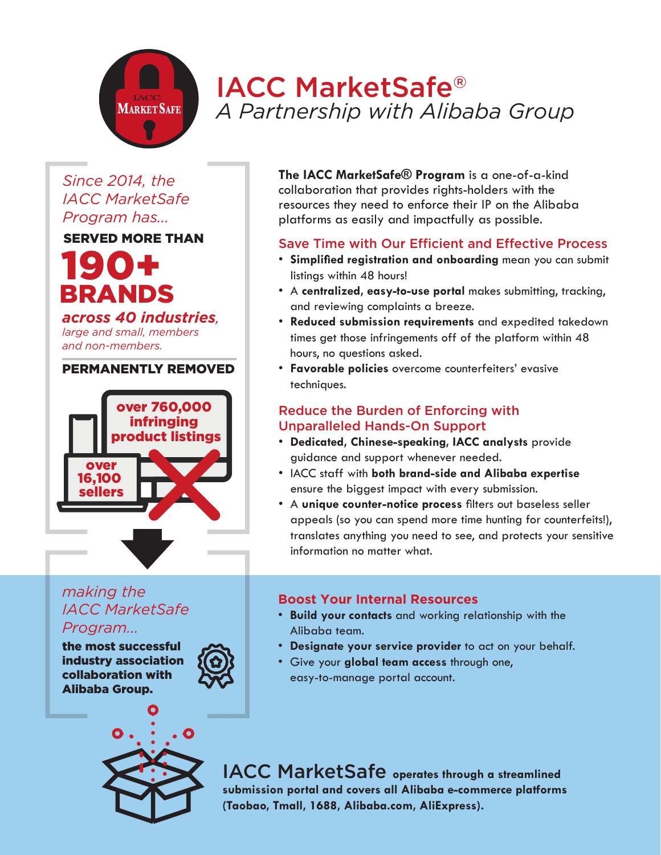# IACC MarketSafe® *A Partnership with Alibaba Group*

## *Since 2014, the IACC MarketSafe Program has...*

**MARKET SAFE**

### SERVED MORE THAN

# 190+ BRANDS

#### *across 40 industries,*

*large and small, members and non-members.* 

#### PERMANENTLY REMOVED



#### **The IACC MarketSafe® Program** is a one-of-a-kind collaboration that provides rights-holders with the resources they need to enforce their IP on the Alibaba platforms as easily and impactfully as possible.

### Save Time with Our Efficient and Effective Process

- **Simplified registration and onboarding** mean you can submit listings within 48 hours!
- A **centralized, easy-to-use portal** makes submitting, tracking, and reviewing complaints a breeze.
- **Reduced submission requirements** and expedited takedown times get those infringements off of the platform within 48 hours, no questions asked.
- **Favorable policies** overcome counterfeiters' evasive techniques.

#### Reduce the Burden of Enforcing with Unparalleled Hands-On Support

- **Dedicated, Chinese-speaking, IACC analysts** provide guidance and support whenever needed.
- IACC staff with **both brand-side and Alibaba expertise** ensure the biggest impact with every submission.
- A **unique counter-notice process** filters out baseless seller appeals (so you can spend more time hunting for counterfeits!), translates anything you need to see, and protects your sensitive information no matter what.

# *making the IACC MarketSafe Program...*

the most successful industry association collaboration with Alibaba Group.





#### **Boost Your Internal Resources**

- **Build your contacts** and working relationship with the Alibaba team.
- **Designate your service provider** to act on your behalf.
- Give your **global team access** through one, easy-to-manage portal account.

IACC MarketSafe **operates through a streamlined submission portal and covers all Alibaba e-commerce platforms (Taobao, Tmall, 1688, Alibaba.com, AliExpress).**